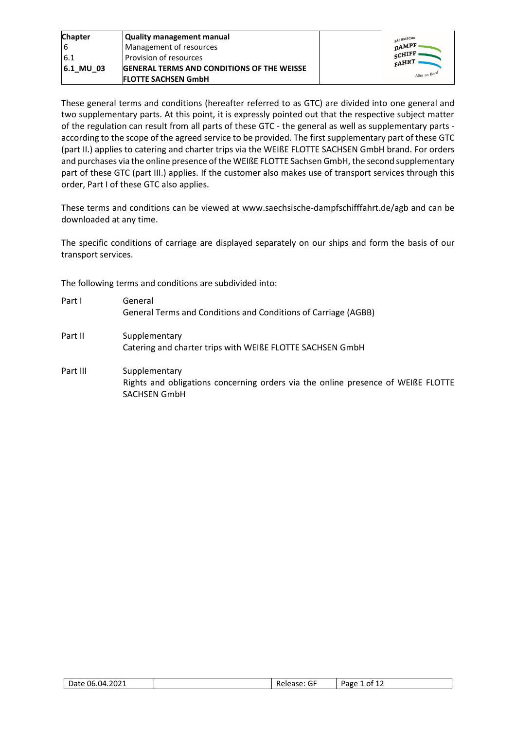| <b>Chapter</b> | <b>Quality management manual</b>                  | SÄCHSISCHE        |
|----------------|---------------------------------------------------|-------------------|
| 16             | Management of resources                           | $\mathsf{D}$ AMPF |
| 6.1            | Provision of resources                            | SCHIFF<br>FAHRT   |
| $ 6.1$ MU 03   | <b>GENERAL TERMS AND CONDITIONS OF THE WEISSE</b> |                   |
|                | <b>FLOTTE SACHSEN GmbH</b>                        | Alles an Bord:    |

These general terms and conditions (hereafter referred to as GTC) are divided into one general and two supplementary parts. At this point, it is expressly pointed out that the respective subject matter of the regulation can result from all parts of these GTC - the general as well as supplementary parts according to the scope of the agreed service to be provided. The first supplementary part of these GTC (part II.) applies to catering and charter trips via the WEIßE FLOTTE SACHSEN GmbH brand. For orders and purchases via the online presence of the WEIßE FLOTTE Sachsen GmbH, the second supplementary part of these GTC (part III.) applies. If the customer also makes use of transport services through this order, Part I of these GTC also applies.

These terms and conditions can be viewed at www.saechsische-dampfschifffahrt.de/agb and can be downloaded at any time.

The specific conditions of carriage are displayed separately on our ships and form the basis of our transport services.

The following terms and conditions are subdivided into:

| Part I   | General<br>General Terms and Conditions and Conditions of Carriage (AGBB)                                                |
|----------|--------------------------------------------------------------------------------------------------------------------------|
| Part II  | Supplementary<br>Catering and charter trips with WEIßE FLOTTE SACHSEN GmbH                                               |
| Part III | Supplementary<br>Rights and obligations concerning orders via the online presence of WEIßE FLOTTE<br><b>SACHSEN GmbH</b> |

| 06.04.2021<br>Date<br>___ | $- -$<br>$\sim$ $\sim$ $\sim$<br>.<br>J<br>ncicasc | Page<br>റ†<br>-- |
|---------------------------|----------------------------------------------------|------------------|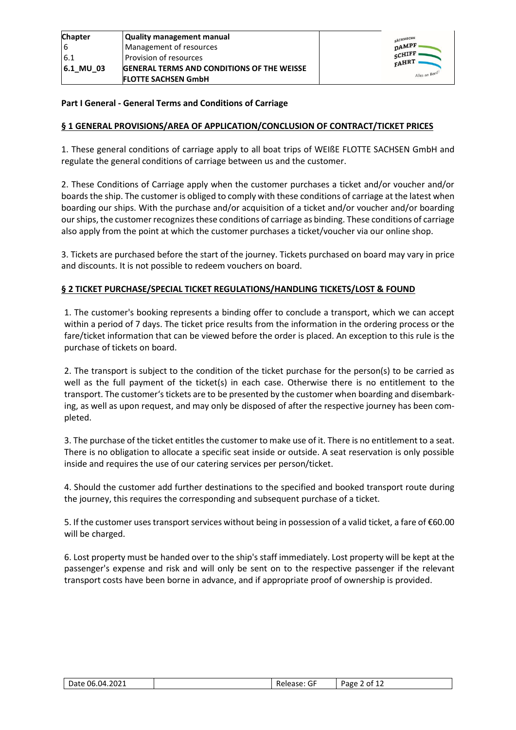| <b>Chapter</b> | Quality management manual                         |  |
|----------------|---------------------------------------------------|--|
|                | Management of resources                           |  |
| 6.1            | l Provision of resources                          |  |
| 6.1 MU 03      | <b>GENERAL TERMS AND CONDITIONS OF THE WEISSE</b> |  |
|                | <b>FLOTTE SACHSEN GmbH</b>                        |  |

| SÄCHSISCHE<br><b>DAMPF</b><br>SCHIFF<br>FAHRT |                |
|-----------------------------------------------|----------------|
|                                               | Alles an Bord! |

### **Part I General - General Terms and Conditions of Carriage**

## **§ 1 GENERAL PROVISIONS/AREA OF APPLICATION/CONCLUSION OF CONTRACT/TICKET PRICES**

1. These general conditions of carriage apply to all boat trips of WEIßE FLOTTE SACHSEN GmbH and regulate the general conditions of carriage between us and the customer.

2. These Conditions of Carriage apply when the customer purchases a ticket and/or voucher and/or boards the ship. The customer is obliged to comply with these conditions of carriage at the latest when boarding our ships. With the purchase and/or acquisition of a ticket and/or voucher and/or boarding our ships, the customer recognizes these conditions of carriage as binding. These conditions of carriage also apply from the point at which the customer purchases a ticket/voucher via our online shop.

3. Tickets are purchased before the start of the journey. Tickets purchased on board may vary in price and discounts. It is not possible to redeem vouchers on board.

## **§ 2 TICKET PURCHASE/SPECIAL TICKET REGULATIONS/HANDLING TICKETS/LOST & FOUND**

1. The customer's booking represents a binding offer to conclude a transport, which we can accept within a period of 7 days. The ticket price results from the information in the ordering process or the fare/ticket information that can be viewed before the order is placed. An exception to this rule is the purchase of tickets on board.

2. The transport is subject to the condition of the ticket purchase for the person(s) to be carried as well as the full payment of the ticket(s) in each case. Otherwise there is no entitlement to the transport. The customer's tickets are to be presented by the customer when boarding and disembarking, as well as upon request, and may only be disposed of after the respective journey has been completed.

3. The purchase of the ticket entitles the customer to make use of it. There is no entitlement to a seat. There is no obligation to allocate a specific seat inside or outside. A seat reservation is only possible inside and requires the use of our catering services per person/ticket.

4. Should the customer add further destinations to the specified and booked transport route during the journey, this requires the corresponding and subsequent purchase of a ticket.

5. If the customer uses transport services without being in possession of a valid ticket, a fare of €60.00 will be charged.

6. Lost property must be handed over to the ship's staff immediately. Lost property will be kept at the passenger's expense and risk and will only be sent on to the respective passenger if the relevant transport costs have been borne in advance, and if appropriate proof of ownership is provided.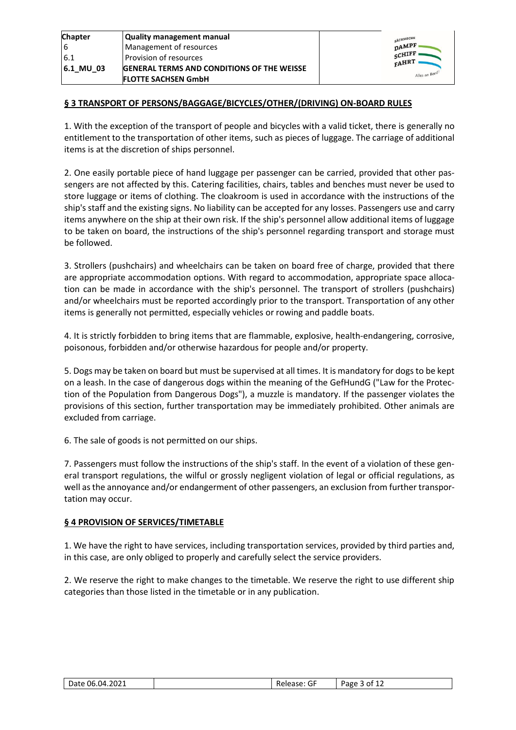| <b>Chapter</b> | <b>Quality management manual</b>                  |
|----------------|---------------------------------------------------|
| 16             | Management of resources                           |
| 6.1            | Provision of resources                            |
| 6.1 MU 03      | <b>GENERAL TERMS AND CONDITIONS OF THE WEISSE</b> |
|                | <b>FLOTTE SACHSEN GmbH</b>                        |



## **§ 3 TRANSPORT OF PERSONS/BAGGAGE/BICYCLES/OTHER/(DRIVING) ON-BOARD RULES**

1. With the exception of the transport of people and bicycles with a valid ticket, there is generally no entitlement to the transportation of other items, such as pieces of luggage. The carriage of additional items is at the discretion of ships personnel.

2. One easily portable piece of hand luggage per passenger can be carried, provided that other passengers are not affected by this. Catering facilities, chairs, tables and benches must never be used to store luggage or items of clothing. The cloakroom is used in accordance with the instructions of the ship's staff and the existing signs. No liability can be accepted for any losses. Passengers use and carry items anywhere on the ship at their own risk. If the ship's personnel allow additional items of luggage to be taken on board, the instructions of the ship's personnel regarding transport and storage must be followed.

3. Strollers (pushchairs) and wheelchairs can be taken on board free of charge, provided that there are appropriate accommodation options. With regard to accommodation, appropriate space allocation can be made in accordance with the ship's personnel. The transport of strollers (pushchairs) and/or wheelchairs must be reported accordingly prior to the transport. Transportation of any other items is generally not permitted, especially vehicles or rowing and paddle boats.

4. It is strictly forbidden to bring items that are flammable, explosive, health-endangering, corrosive, poisonous, forbidden and/or otherwise hazardous for people and/or property.

5. Dogs may be taken on board but must be supervised at all times. It is mandatory for dogs to be kept on a leash. In the case of dangerous dogs within the meaning of the GefHundG ("Law for the Protection of the Population from Dangerous Dogs"), a muzzle is mandatory. If the passenger violates the provisions of this section, further transportation may be immediately prohibited. Other animals are excluded from carriage.

6. The sale of goods is not permitted on our ships.

7. Passengers must follow the instructions of the ship's staff. In the event of a violation of these general transport regulations, the wilful or grossly negligent violation of legal or official regulations, as well as the annoyance and/or endangerment of other passengers, an exclusion from further transportation may occur.

### **§ 4 PROVISION OF SERVICES/TIMETABLE**

1. We have the right to have services, including transportation services, provided by third parties and, in this case, are only obliged to properly and carefully select the service providers.

2. We reserve the right to make changes to the timetable. We reserve the right to use different ship categories than those listed in the timetable or in any publication.

| <b></b><br>$\sim$ | 4.2021<br>06.04<br>-<br>Date |  | $- -$<br>. مامי<br>υŀ | Page<br>nt |
|-------------------|------------------------------|--|-----------------------|------------|
|-------------------|------------------------------|--|-----------------------|------------|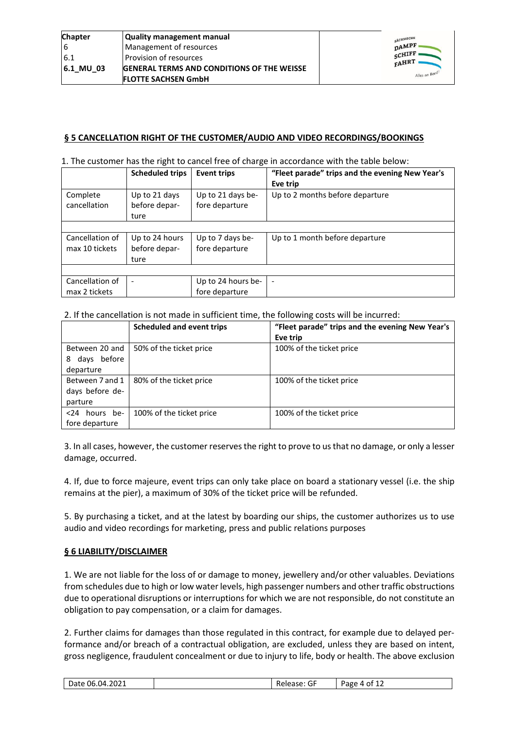| SÄCHSISCHE<br><b>DAMPF</b><br><b>SCHIFF</b><br>FAHRT |                |
|------------------------------------------------------|----------------|
|                                                      | Alles an Bord! |

### **§ 5 CANCELLATION RIGHT OF THE CUSTOMER/AUDIO AND VIDEO RECORDINGS/BOOKINGS**

#### 1. The customer has the right to cancel free of charge in accordance with the table below:

|                 | <b>Scheduled trips</b> | <b>Event trips</b> | "Fleet parade" trips and the evening New Year's |
|-----------------|------------------------|--------------------|-------------------------------------------------|
|                 |                        |                    | Eve trip                                        |
| Complete        | Up to 21 days          | Up to 21 days be-  | Up to 2 months before departure                 |
| cancellation    | before depar-          | fore departure     |                                                 |
|                 | ture                   |                    |                                                 |
|                 |                        |                    |                                                 |
| Cancellation of | Up to 24 hours         | Up to 7 days be-   | Up to 1 month before departure                  |
| max 10 tickets  | before depar-          | fore departure     |                                                 |
|                 | ture                   |                    |                                                 |
|                 |                        |                    |                                                 |
| Cancellation of | ٠                      | Up to 24 hours be- | $\overline{\phantom{a}}$                        |
| max 2 tickets   |                        | fore departure     |                                                 |

2. If the cancellation is not made in sufficient time, the following costs will be incurred:

|                  | <b>Scheduled and event trips</b> | "Fleet parade" trips and the evening New Year's |
|------------------|----------------------------------|-------------------------------------------------|
|                  |                                  | Eve trip                                        |
| Between 20 and   | 50% of the ticket price          | 100% of the ticket price                        |
| days before<br>8 |                                  |                                                 |
| departure        |                                  |                                                 |
| Between 7 and 1  | 80% of the ticket price          | 100% of the ticket price                        |
| days before de-  |                                  |                                                 |
| parture          |                                  |                                                 |
| <24 hours be-    | 100% of the ticket price         | 100% of the ticket price                        |
| fore departure   |                                  |                                                 |

3. In all cases, however, the customer reserves the right to prove to us that no damage, or only a lesser damage, occurred.

4. If, due to force majeure, event trips can only take place on board a stationary vessel (i.e. the ship remains at the pier), a maximum of 30% of the ticket price will be refunded.

5. By purchasing a ticket, and at the latest by boarding our ships, the customer authorizes us to use audio and video recordings for marketing, press and public relations purposes

### **§ 6 LIABILITY/DISCLAIMER**

1. We are not liable for the loss of or damage to money, jewellery and/or other valuables. Deviations from schedules due to high or low water levels, high passenger numbers and other traffic obstructions due to operational disruptions or interruptions for which we are not responsible, do not constitute an obligation to pay compensation, or a claim for damages.

2. Further claims for damages than those regulated in this contract, for example due to delayed performance and/or breach of a contractual obligation, are excluded, unless they are based on intent, gross negligence, fraudulent concealment or due to injury to life, body or health. The above exclusion

| -<br>--<br>4.2021<br>-<br>06.04<br>Date.<br>Page<br>$-$<br>~<br>u<br>. .<br>. .<br><br>ᅩᄼ |  |
|-------------------------------------------------------------------------------------------|--|
|-------------------------------------------------------------------------------------------|--|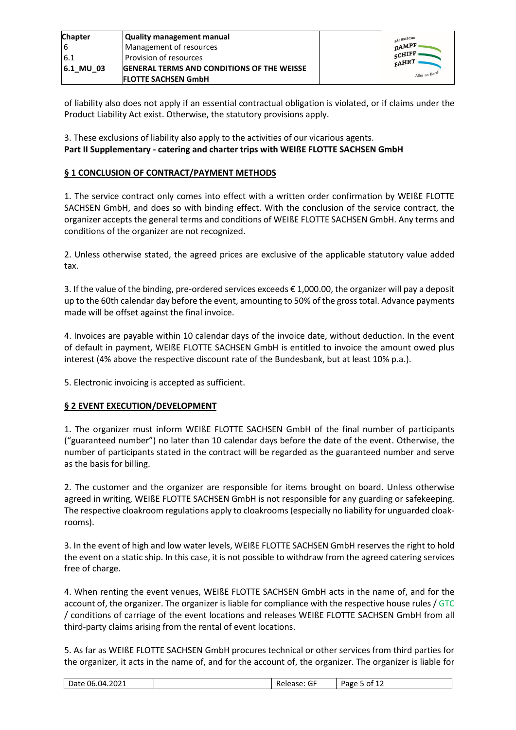| <b>Chapter</b> | Quality management manual                         | SÄCHSISCHE             |
|----------------|---------------------------------------------------|------------------------|
|                | Management of resources                           | $\mathbf{D}$ AMPF      |
| 6.1            | Provision of resources                            | SCHIFF<br><b>FAHRT</b> |
| 6.1 MU 03      | <b>GENERAL TERMS AND CONDITIONS OF THE WEISSE</b> |                        |
|                | <b>FLOTTE SACHSEN GmbH</b>                        | Alles an Bord          |

of liability also does not apply if an essential contractual obligation is violated, or if claims under the Product Liability Act exist. Otherwise, the statutory provisions apply.

3. These exclusions of liability also apply to the activities of our vicarious agents. **Part II Supplementary - catering and charter trips with WEIßE FLOTTE SACHSEN GmbH**

## **§ 1 CONCLUSION OF CONTRACT/PAYMENT METHODS**

1. The service contract only comes into effect with a written order confirmation by WEIßE FLOTTE SACHSEN GmbH, and does so with binding effect. With the conclusion of the service contract, the organizer accepts the general terms and conditions of WEIßE FLOTTE SACHSEN GmbH. Any terms and conditions of the organizer are not recognized.

2. Unless otherwise stated, the agreed prices are exclusive of the applicable statutory value added tax.

3. If the value of the binding, pre-ordered services exceeds € 1,000.00, the organizer will pay a deposit up to the 60th calendar day before the event, amounting to 50% of the gross total. Advance payments made will be offset against the final invoice.

4. Invoices are payable within 10 calendar days of the invoice date, without deduction. In the event of default in payment, WEIßE FLOTTE SACHSEN GmbH is entitled to invoice the amount owed plus interest (4% above the respective discount rate of the Bundesbank, but at least 10% p.a.).

5. Electronic invoicing is accepted as sufficient.

### **§ 2 EVENT EXECUTION/DEVELOPMENT**

1. The organizer must inform WEIßE FLOTTE SACHSEN GmbH of the final number of participants ("guaranteed number") no later than 10 calendar days before the date of the event. Otherwise, the number of participants stated in the contract will be regarded as the guaranteed number and serve as the basis for billing.

2. The customer and the organizer are responsible for items brought on board. Unless otherwise agreed in writing, WEIßE FLOTTE SACHSEN GmbH is not responsible for any guarding or safekeeping. The respective cloakroom regulations apply to cloakrooms (especially no liability for unguarded cloakrooms).

3. In the event of high and low water levels, WEIßE FLOTTE SACHSEN GmbH reserves the right to hold the event on a static ship. In this case, it is not possible to withdraw from the agreed catering services free of charge.

4. When renting the event venues, WEIßE FLOTTE SACHSEN GmbH acts in the name of, and for the account of, the organizer. The organizer is liable for compliance with the respective house rules / GTC / conditions of carriage of the event locations and releases WEIßE FLOTTE SACHSEN GmbH from all third-party claims arising from the rental of event locations.

5. As far as WEIßE FLOTTE SACHSEN GmbH procures technical or other services from third parties for the organizer, it acts in the name of, and for the account of, the organizer. The organizer is liable for

| ---<br>1.2021<br>-<br>-04<br>0F)<br>$\sim$ $-$<br>٦т۴<br>.<br>d۲<br>J<br>эv.<br>--<br>. .<br>. |
|------------------------------------------------------------------------------------------------|
|------------------------------------------------------------------------------------------------|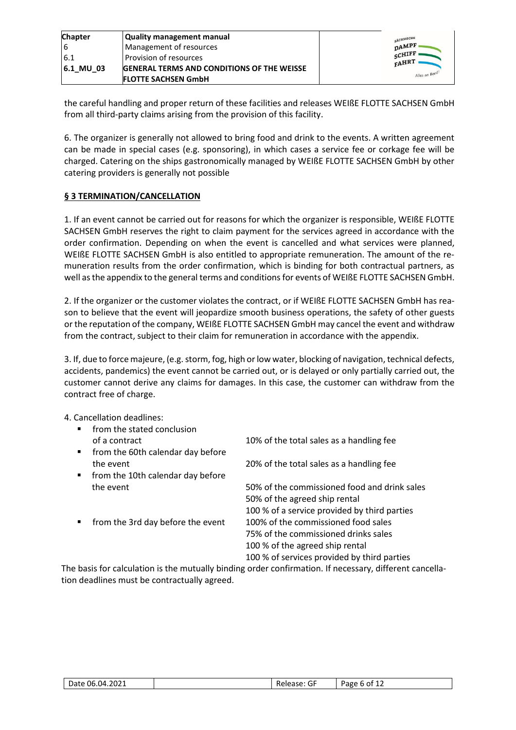| <b>Chapter</b> | Quality management manual                         | SÄCHSISCHE        |
|----------------|---------------------------------------------------|-------------------|
|                | Management of resources                           | $\mathbf{D}$ AMPF |
| 6.1            | Provision of resources                            | SCHIFF '<br>FAHRT |
| 6.1 MU 03      | <b>GENERAL TERMS AND CONDITIONS OF THE WEISSE</b> |                   |
|                | <b>FLOTTE SACHSEN GmbH</b>                        | Alles an Bord:    |

the careful handling and proper return of these facilities and releases WEIßE FLOTTE SACHSEN GmbH from all third-party claims arising from the provision of this facility.

6. The organizer is generally not allowed to bring food and drink to the events. A written agreement can be made in special cases (e.g. sponsoring), in which cases a service fee or corkage fee will be charged. Catering on the ships gastronomically managed by WEIßE FLOTTE SACHSEN GmbH by other catering providers is generally not possible

# **§ 3 TERMINATION/CANCELLATION**

1. If an event cannot be carried out for reasons for which the organizer is responsible, WEIßE FLOTTE SACHSEN GmbH reserves the right to claim payment for the services agreed in accordance with the order confirmation. Depending on when the event is cancelled and what services were planned, WEIßE FLOTTE SACHSEN GmbH is also entitled to appropriate remuneration. The amount of the remuneration results from the order confirmation, which is binding for both contractual partners, as well as the appendix to the general terms and conditions for events of WEIßE FLOTTE SACHSEN GmbH.

2. If the organizer or the customer violates the contract, or if WEIßE FLOTTE SACHSEN GmbH has reason to believe that the event will jeopardize smooth business operations, the safety of other guests or the reputation of the company, WEIßE FLOTTE SACHSEN GmbH may cancel the event and withdraw from the contract, subject to their claim for remuneration in accordance with the appendix.

3. If, due to force majeure, (e.g. storm, fog, high or low water, blocking of navigation, technical defects, accidents, pandemics) the event cannot be carried out, or is delayed or only partially carried out, the customer cannot derive any claims for damages. In this case, the customer can withdraw from the contract free of charge.

4. Cancellation deadlines:

| from the stated conclusion        |                                              |
|-----------------------------------|----------------------------------------------|
| of a contract                     | 10% of the total sales as a handling fee     |
| from the 60th calendar day before |                                              |
| the event                         | 20% of the total sales as a handling fee     |
| from the 10th calendar day before |                                              |
| the event                         | 50% of the commissioned food and drink sales |
|                                   | 50% of the agreed ship rental                |
|                                   | 100 % of a service provided by third parties |
| from the 3rd day before the event | 100% of the commissioned food sales          |
|                                   | 75% of the commissioned drinks sales         |
|                                   | 100 % of the agreed ship rental              |
|                                   | 100 % of services provided by third parties  |

The basis for calculation is the mutually binding order confirmation. If necessary, different cancellation deadlines must be contractually agreed.

| 06.04.2021<br>Date<br>______ | -<br>Release: Gl | Page<br>b of<br>- 11 A |
|------------------------------|------------------|------------------------|
|------------------------------|------------------|------------------------|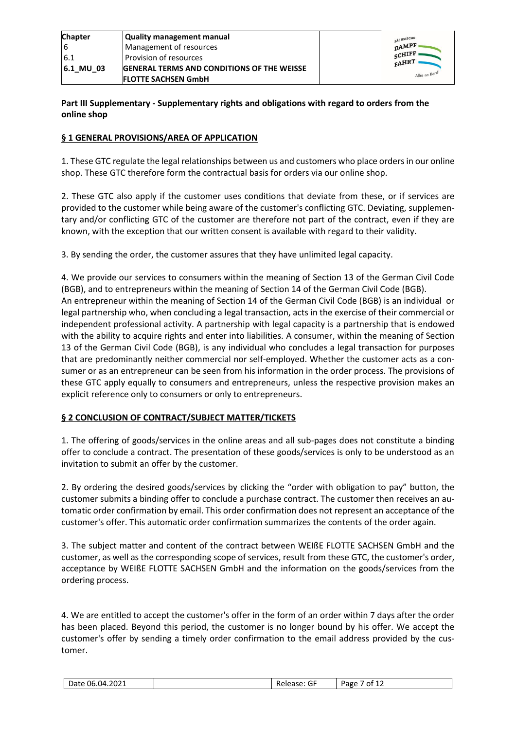| <b>Chapter</b> | Quality management manual                         | SÄCHSISCHE        |
|----------------|---------------------------------------------------|-------------------|
|                | Management of resources                           | DAMPF             |
| <b>6.1</b>     | Provision of resources                            | SCHIFF '<br>FAHRT |
| $ 6.1$ MU 03   | <b>GENERAL TERMS AND CONDITIONS OF THE WEISSE</b> |                   |
|                | <b>FLOTTE SACHSEN GmbH</b>                        | Alles an Bord:    |

## **Part III Supplementary - Supplementary rights and obligations with regard to orders from the online shop**

## **§ 1 GENERAL PROVISIONS/AREA OF APPLICATION**

1. These GTC regulate the legal relationships between us and customers who place orders in our online shop. These GTC therefore form the contractual basis for orders via our online shop.

2. These GTC also apply if the customer uses conditions that deviate from these, or if services are provided to the customer while being aware of the customer's conflicting GTC. Deviating, supplementary and/or conflicting GTC of the customer are therefore not part of the contract, even if they are known, with the exception that our written consent is available with regard to their validity.

3. By sending the order, the customer assures that they have unlimited legal capacity.

4. We provide our services to consumers within the meaning of Section 13 of the German Civil Code (BGB), and to entrepreneurs within the meaning of Section 14 of the German Civil Code (BGB). An entrepreneur within the meaning of Section 14 of the German Civil Code (BGB) is an individual or legal partnership who, when concluding a legal transaction, acts in the exercise of their commercial or independent professional activity. A partnership with legal capacity is a partnership that is endowed with the ability to acquire rights and enter into liabilities. A consumer, within the meaning of Section 13 of the German Civil Code (BGB), is any individual who concludes a legal transaction for purposes that are predominantly neither commercial nor self-employed. Whether the customer acts as a consumer or as an entrepreneur can be seen from his information in the order process. The provisions of these GTC apply equally to consumers and entrepreneurs, unless the respective provision makes an explicit reference only to consumers or only to entrepreneurs.

### **§ 2 CONCLUSION OF CONTRACT/SUBJECT MATTER/TICKETS**

1. The offering of goods/services in the online areas and all sub-pages does not constitute a binding offer to conclude a contract. The presentation of these goods/services is only to be understood as an invitation to submit an offer by the customer.

2. By ordering the desired goods/services by clicking the "order with obligation to pay" button, the customer submits a binding offer to conclude a purchase contract. The customer then receives an automatic order confirmation by email. This order confirmation does not represent an acceptance of the customer's offer. This automatic order confirmation summarizes the contents of the order again.

3. The subject matter and content of the contract between WEIßE FLOTTE SACHSEN GmbH and the customer, as well as the corresponding scope of services, result from these GTC, the customer's order, acceptance by WEIßE FLOTTE SACHSEN GmbH and the information on the goods/services from the ordering process.

4. We are entitled to accept the customer's offer in the form of an order within 7 days after the order has been placed. Beyond this period, the customer is no longer bound by his offer. We accept the customer's offer by sending a timely order confirmation to the email address provided by the customer.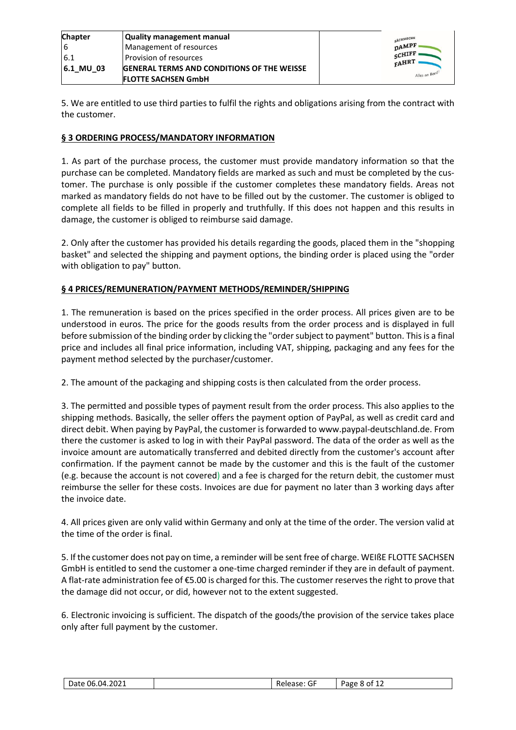| <b>Chapter</b> | <b>Quality management manual</b>                  | SÄCHSISCHE        |
|----------------|---------------------------------------------------|-------------------|
|                | Management of resources                           | $\mathbf{n}$ AMPF |
| 6.1            | Provision of resources                            | SCHIFF<br>FAHRT   |
| 6.1 MU 03      | <b>GENERAL TERMS AND CONDITIONS OF THE WEISSE</b> |                   |
|                | <b>FLOTTE SACHSEN GmbH</b>                        | Alles an Bord     |

5. We are entitled to use third parties to fulfil the rights and obligations arising from the contract with the customer.

## **§ 3 ORDERING PROCESS/MANDATORY INFORMATION**

1. As part of the purchase process, the customer must provide mandatory information so that the purchase can be completed. Mandatory fields are marked as such and must be completed by the customer. The purchase is only possible if the customer completes these mandatory fields. Areas not marked as mandatory fields do not have to be filled out by the customer. The customer is obliged to complete all fields to be filled in properly and truthfully. If this does not happen and this results in damage, the customer is obliged to reimburse said damage.

2. Only after the customer has provided his details regarding the goods, placed them in the "shopping basket" and selected the shipping and payment options, the binding order is placed using the "order with obligation to pay" button.

## **§ 4 PRICES/REMUNERATION/PAYMENT METHODS/REMINDER/SHIPPING**

1. The remuneration is based on the prices specified in the order process. All prices given are to be understood in euros. The price for the goods results from the order process and is displayed in full before submission of the binding order by clicking the "order subject to payment" button. This is a final price and includes all final price information, including VAT, shipping, packaging and any fees for the payment method selected by the purchaser/customer.

2. The amount of the packaging and shipping costs is then calculated from the order process.

3. The permitted and possible types of payment result from the order process. This also applies to the shipping methods. Basically, the seller offers the payment option of PayPal, as well as credit card and direct debit. When paying by PayPal, the customer is forwarded to www.paypal-deutschland.de. From there the customer is asked to log in with their PayPal password. The data of the order as well as the invoice amount are automatically transferred and debited directly from the customer's account after confirmation. If the payment cannot be made by the customer and this is the fault of the customer (e.g. because the account is not covered) and a fee is charged for the return debit, the customer must reimburse the seller for these costs. Invoices are due for payment no later than 3 working days after the invoice date.

4. All prices given are only valid within Germany and only at the time of the order. The version valid at the time of the order is final.

5. If the customer does not pay on time, a reminder will be sent free of charge. WEIßE FLOTTE SACHSEN GmbH is entitled to send the customer a one-time charged reminder if they are in default of payment. A flat-rate administration fee of €5.00 is charged for this. The customer reserves the right to prove that the damage did not occur, or did, however not to the extent suggested.

6. Electronic invoicing is sufficient. The dispatch of the goods/the provision of the service takes place only after full payment by the customer.

| 06.04.2021<br>Date<br>___ | $\sim$ $\sim$<br>Release.<br>ut | Page<br>8 of<br>ᆠ |
|---------------------------|---------------------------------|-------------------|
|---------------------------|---------------------------------|-------------------|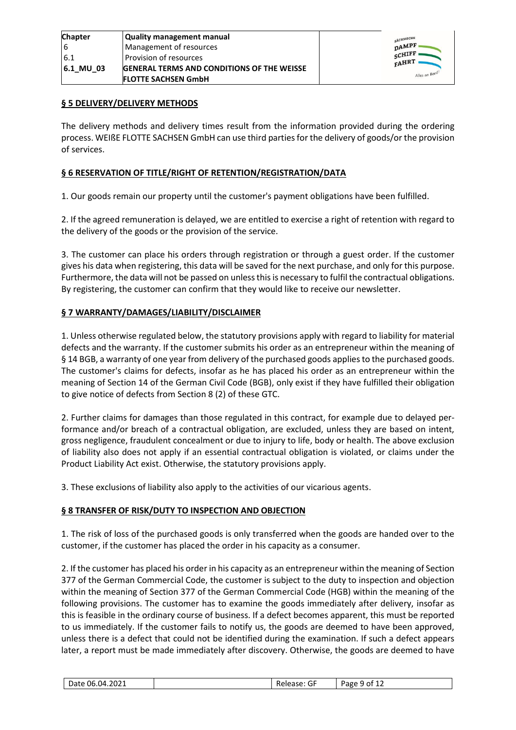| <b>Chapter</b> | <b>Quality management manual</b>                  |
|----------------|---------------------------------------------------|
| 16             | Management of resources                           |
| 6.1            | Provision of resources                            |
| 6.1 MU 03      | <b>GENERAL TERMS AND CONDITIONS OF THE WEISSE</b> |
|                | <b>FLOTTE SACHSEN GmbH</b>                        |



### **§ 5 DELIVERY/DELIVERY METHODS**

The delivery methods and delivery times result from the information provided during the ordering process. WEIßE FLOTTE SACHSEN GmbH can use third parties for the delivery of goods/or the provision of services.

## **§ 6 RESERVATION OF TITLE/RIGHT OF RETENTION/REGISTRATION/DATA**

1. Our goods remain our property until the customer's payment obligations have been fulfilled.

2. If the agreed remuneration is delayed, we are entitled to exercise a right of retention with regard to the delivery of the goods or the provision of the service.

3. The customer can place his orders through registration or through a guest order. If the customer gives his data when registering, this data will be saved for the next purchase, and only for this purpose. Furthermore, the data will not be passed on unless this is necessary to fulfil the contractual obligations. By registering, the customer can confirm that they would like to receive our newsletter.

## **§ 7 WARRANTY/DAMAGES/LIABILITY/DISCLAIMER**

1. Unless otherwise regulated below, the statutory provisions apply with regard to liability for material defects and the warranty. If the customer submits his order as an entrepreneur within the meaning of § 14 BGB, a warranty of one year from delivery of the purchased goods applies to the purchased goods. The customer's claims for defects, insofar as he has placed his order as an entrepreneur within the meaning of Section 14 of the German Civil Code (BGB), only exist if they have fulfilled their obligation to give notice of defects from Section 8 (2) of these GTC.

2. Further claims for damages than those regulated in this contract, for example due to delayed performance and/or breach of a contractual obligation, are excluded, unless they are based on intent, gross negligence, fraudulent concealment or due to injury to life, body or health. The above exclusion of liability also does not apply if an essential contractual obligation is violated, or claims under the Product Liability Act exist. Otherwise, the statutory provisions apply.

3. These exclusions of liability also apply to the activities of our vicarious agents.

### **§ 8 TRANSFER OF RISK/DUTY TO INSPECTION AND OBJECTION**

1. The risk of loss of the purchased goods is only transferred when the goods are handed over to the customer, if the customer has placed the order in his capacity as a consumer.

2. If the customer has placed his order in his capacity as an entrepreneur within the meaning of Section 377 of the German Commercial Code, the customer is subject to the duty to inspection and objection within the meaning of Section 377 of the German Commercial Code (HGB) within the meaning of the following provisions. The customer has to examine the goods immediately after delivery, insofar as this is feasible in the ordinary course of business. If a defect becomes apparent, this must be reported to us immediately. If the customer fails to notify us, the goods are deemed to have been approved, unless there is a defect that could not be identified during the examination. If such a defect appears later, a report must be made immediately after discovery. Otherwise, the goods are deemed to have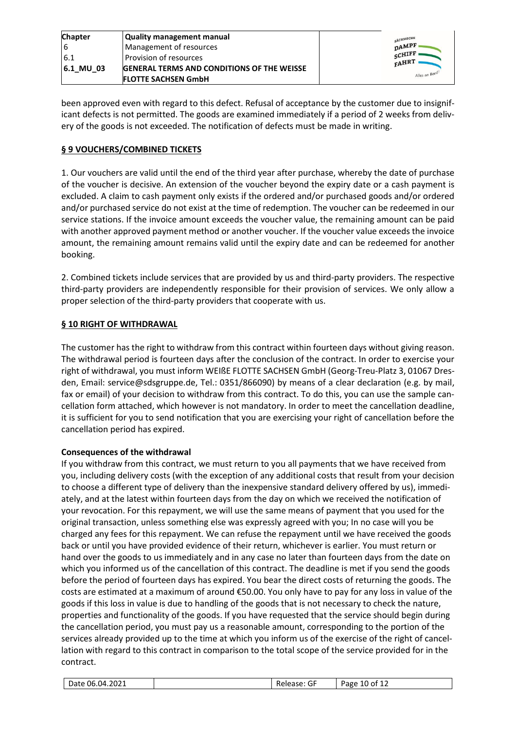| <b>Chapter</b> | Quality management manual                         | SÄCHSISCHE      |
|----------------|---------------------------------------------------|-----------------|
|                | Management of resources                           | $n$ AMPF        |
| 6.1            | l Provision of resources                          | SCHIFF<br>FAHRT |
| 6.1 MU 03      | <b>GENERAL TERMS AND CONDITIONS OF THE WEISSE</b> |                 |
|                | <b>FLOTTE SACHSEN GmbH</b>                        | Alles an Bord:  |

been approved even with regard to this defect. Refusal of acceptance by the customer due to insignificant defects is not permitted. The goods are examined immediately if a period of 2 weeks from delivery of the goods is not exceeded. The notification of defects must be made in writing.

# **§ 9 VOUCHERS/COMBINED TICKETS**

1. Our vouchers are valid until the end of the third year after purchase, whereby the date of purchase of the voucher is decisive. An extension of the voucher beyond the expiry date or a cash payment is excluded. A claim to cash payment only exists if the ordered and/or purchased goods and/or ordered and/or purchased service do not exist at the time of redemption. The voucher can be redeemed in our service stations. If the invoice amount exceeds the voucher value, the remaining amount can be paid with another approved payment method or another voucher. If the voucher value exceeds the invoice amount, the remaining amount remains valid until the expiry date and can be redeemed for another booking.

2. Combined tickets include services that are provided by us and third-party providers. The respective third-party providers are independently responsible for their provision of services. We only allow a proper selection of the third-party providers that cooperate with us.

## **§ 10 RIGHT OF WITHDRAWAL**

The customer has the right to withdraw from this contract within fourteen days without giving reason. The withdrawal period is fourteen days after the conclusion of the contract. In order to exercise your right of withdrawal, you must inform WEIßE FLOTTE SACHSEN GmbH (Georg-Treu-Platz 3, 01067 Dresden, Email: service@sdsgruppe.de, Tel.: 0351/866090) by means of a clear declaration (e.g. by mail, fax or email) of your decision to withdraw from this contract. To do this, you can use the sample cancellation form attached, which however is not mandatory. In order to meet the cancellation deadline, it is sufficient for you to send notification that you are exercising your right of cancellation before the cancellation period has expired.

## **Consequences of the withdrawal**

If you withdraw from this contract, we must return to you all payments that we have received from you, including delivery costs (with the exception of any additional costs that result from your decision to choose a different type of delivery than the inexpensive standard delivery offered by us), immediately, and at the latest within fourteen days from the day on which we received the notification of your revocation. For this repayment, we will use the same means of payment that you used for the original transaction, unless something else was expressly agreed with you; In no case will you be charged any fees for this repayment. We can refuse the repayment until we have received the goods back or until you have provided evidence of their return, whichever is earlier. You must return or hand over the goods to us immediately and in any case no later than fourteen days from the date on which you informed us of the cancellation of this contract. The deadline is met if you send the goods before the period of fourteen days has expired. You bear the direct costs of returning the goods. The costs are estimated at a maximum of around €50.00. You only have to pay for any loss in value of the goods if this loss in value is due to handling of the goods that is not necessary to check the nature, properties and functionality of the goods. If you have requested that the service should begin during the cancellation period, you must pay us a reasonable amount, corresponding to the portion of the services already provided up to the time at which you inform us of the exercise of the right of cancellation with regard to this contract in comparison to the total scope of the service provided for in the contract.

| າດາ1<br>Date 06.04.2021 |  | --<br>Release:<br>.<br><u>J</u> | Page.<br>of 12<br>LU. |
|-------------------------|--|---------------------------------|-----------------------|
|-------------------------|--|---------------------------------|-----------------------|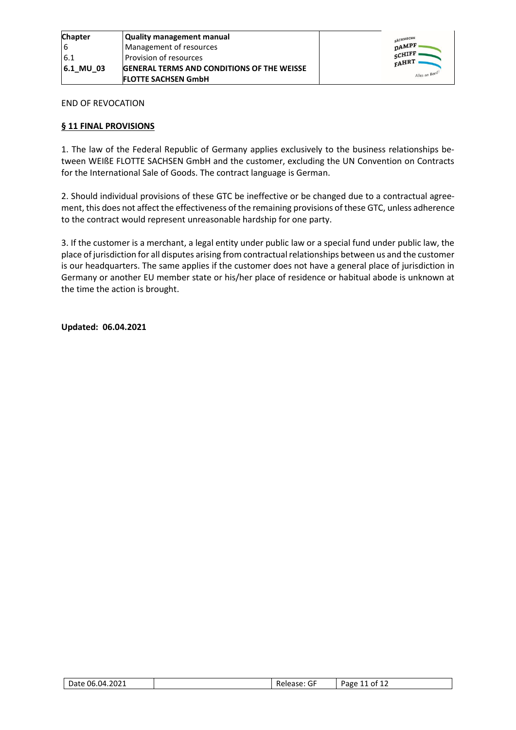

END OF REVOCATION

## **§ 11 FINAL PROVISIONS**

1. The law of the Federal Republic of Germany applies exclusively to the business relationships between WEIßE FLOTTE SACHSEN GmbH and the customer, excluding the UN Convention on Contracts for the International Sale of Goods. The contract language is German.

2. Should individual provisions of these GTC be ineffective or be changed due to a contractual agreement, this does not affect the effectiveness of the remaining provisions of these GTC, unless adherence to the contract would represent unreasonable hardship for one party.

3. If the customer is a merchant, a legal entity under public law or a special fund under public law, the place of jurisdiction for all disputes arising from contractual relationships between us and the customer is our headquarters. The same applies if the customer does not have a general place of jurisdiction in Germany or another EU member state or his/her place of residence or habitual abode is unknown at the time the action is brought.

**Updated: 06.04.2021**

| 06.04.2021<br>-<br>$\overline{a}$ | Release: Gl | -<br>$\lambda$<br>ot<br>. age<br>ᅩᄼ<br>-- |
|-----------------------------------|-------------|-------------------------------------------|
|-----------------------------------|-------------|-------------------------------------------|